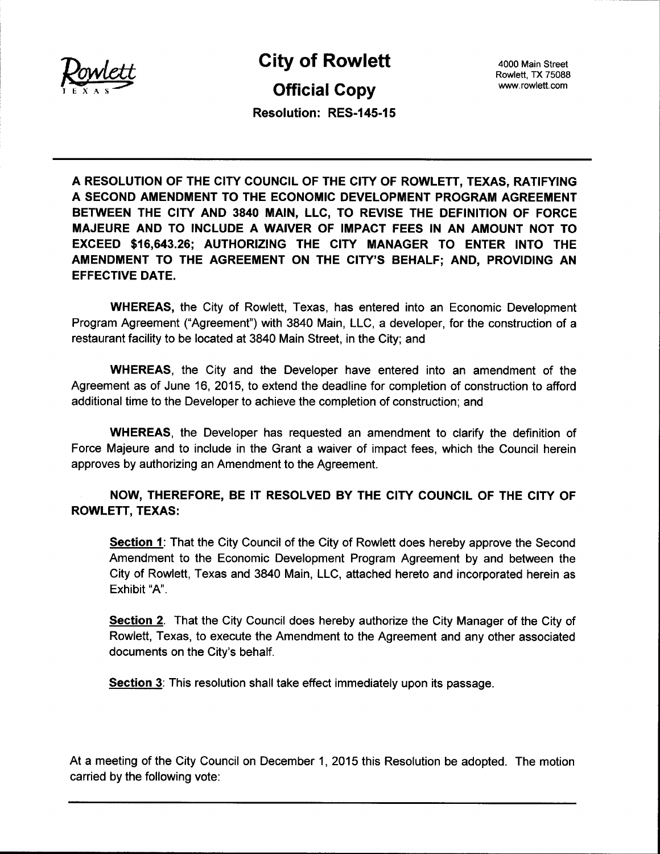

**City of Rowlett**<br> **City of Rowlet ADD ADD ADD ROWLET, TX 75088**<br> **Official Copy** Wett also with the CHY OF ROWIELL and the street<br>A S

Rowlett, TX 75088

Resolution: RES-145-15

A RESOLUTION OF THE CITY COUNCIL OF THE CITY OF ROWLETT, TEXAS, RATIFYING A SECOND AMENDMENT TO THE ECONOMIC DEVELOPMENT PROGRAM AGREEMENT BETWEEN THE CITY AND 3840 MAIN, LLC, TO REVISE THE DEFINITION OF FORCE MAJEURE AND TO INCLUDE A WAIVER OF IMPACT FEES IN AN AMOUNT NOT TO EXCEED \$16,643.26; AUTHORIZING THE CITY MANAGER TO ENTER INTO THE AMENDMENT TO THE AGREEMENT ON THE CITY'S BEHALF; AND, PROVIDING AN EFFECTIVE DATE.

WHEREAS, the City of Rowlett, Texas, has entered into an Economic Development Program Agreement ("Agreement") with 3840 Main, LLC, a developer, for the construction of a restaurant facility to be located at 3840 Main Street, in the City; and

WHEREAS, the City and the Developer have entered into an amendment of the Agreement as of June 16, 2015, to extend the deadline for completion of construction to afford additional time to the Developer to achieve the completion of construction; and

WHEREAS, the Developer has requested an amendment to clarify the definition of Force Majeure and to include in the Grant a waiver of impact fees, which the Council herein approves by authorizing an Amendment to the Agreement.

NOW, THEREFORE, BE IT RESOLVED BY THE CITY COUNCIL OF THE CITY OF ROWLETT, TEXAS:

Section 1: That the City Council of the City of Rowlett does hereby approve the Second Amendment to the Economic Development Program Agreement by and between the City of Rowlett, Texas and 3840 Main, LLC, attached hereto and incorporated herein as Exhibit "A".

Section 2. That the City Council does hereby authorize the City Manager of the City of Rowlett, Texas, to execute the Amendment to the Agreement and any other associated documents on the City's behalf.

Section 3: This resolution shall take effect immediately upon its passage.

At a meeting of the City Council on December 1, 2015 this Resolution be adopted. The motion carried by the following vote: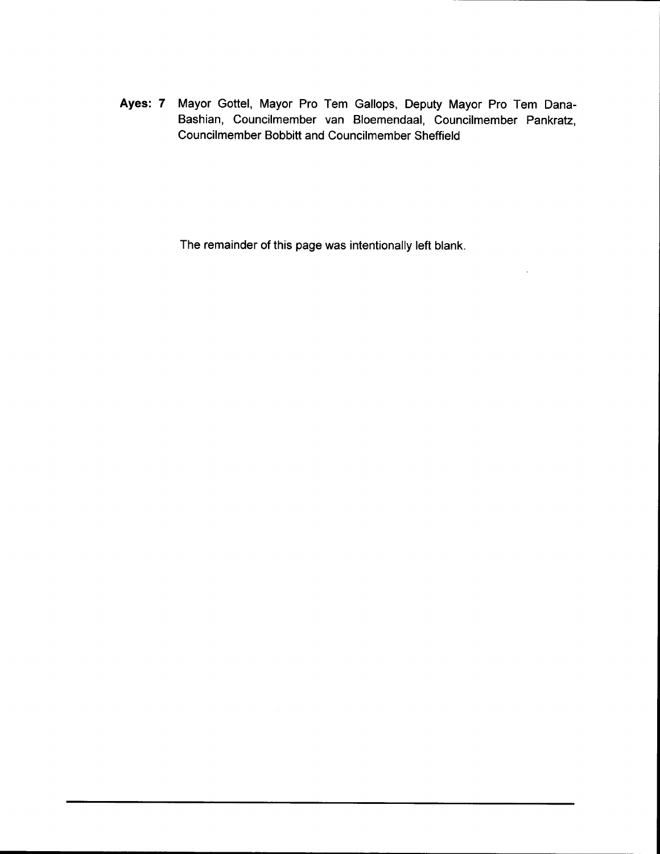Ayes: 7 Mayor Gottel, Mayor Pro Tem Gallops, Deputy Mayor Pro Tem Dana-Bashian, Councilmember van Bloemendaal, Councilmember Pankratz, Councilmember Bobbitt and Councilmember Sheffield

The remainder of this page was intentionally left blank.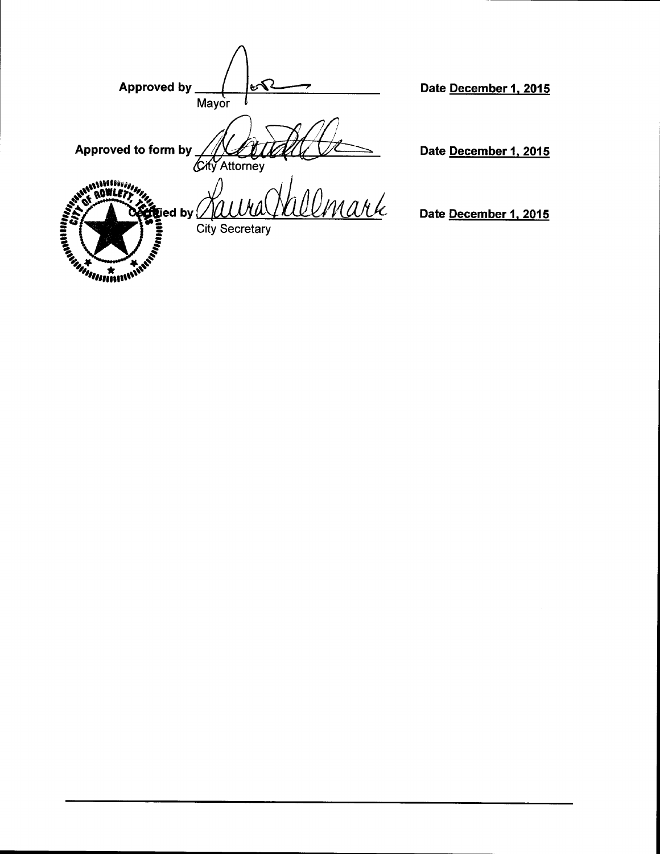| <b>Approved by</b>                                                     | ಆ<br>Mayor                     |
|------------------------------------------------------------------------|--------------------------------|
| Approved to form by                                                    | City Attorney                  |
| <b>efgied by</b><br><b>Change Card Pro</b><br><b>Library Contracts</b> | Umark<br><b>City Secretary</b> |

Date December 1, 2015

Date December 1, 2015

Date December 1, 2015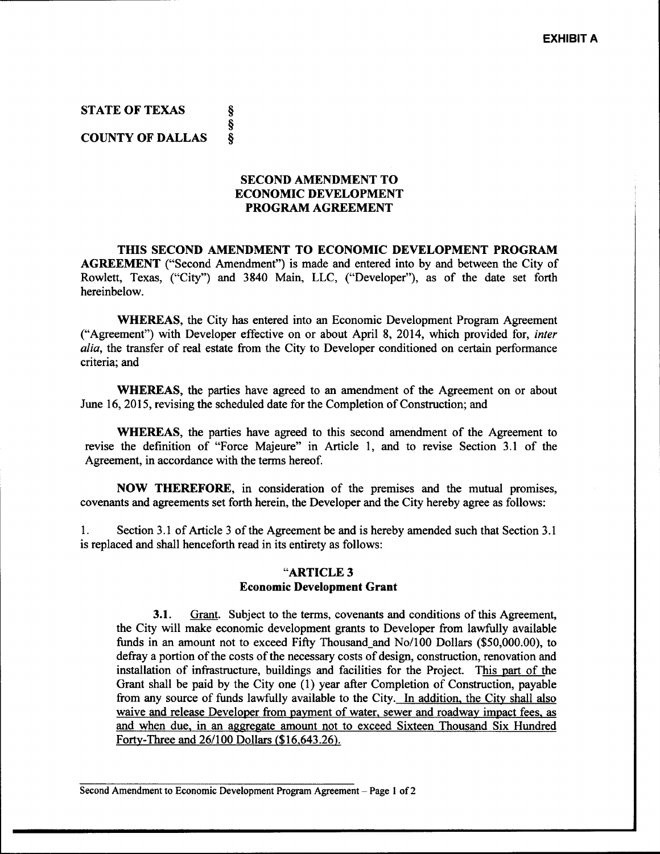STATE OF TEXAS ş §<br>§ COUNTY OF DALLAS

## SECOND AMENDMENT TO ECONOMIC DEVELOPMENT PROGRAM AGREEMENT

THIS SECOND AMENDMENT TO ECONOMIC DEVELOPMENT PROGRAM AGREEMENT ("Second Amendment") is made and entered into by and between the City of Rowlett, Texas, ("City") and 3840 Main, LLC, ("Developer"), as of the date set forth hereinbelow.

WHEREAS, the City has entered into an Economic Development Program Agreement ("Agreement") with Developer effective on or about April 8, 2014, which provided for, *inter* alia, the transfer of real estate from the City to Developer conditioned on certain performance criteria; and

WHEREAS, the parties have agreed to an amendment of the Agreement on or about June 16, 2015, revising the scheduled date for the Completion of Construction; and

WHEREAS, the parties have agreed to this second amendment of the Agreement to revise the definition of "Force Majeure" in Article 1, and to revise Section 3.1 of the Agreement, in accordance with the terms hereof.

NOW THEREFORE, in consideration of the premises and the mutual promises, covenants and agreements set forth herein, the Developer and the City hereby agree as follows:

1. Section 3.1 of Article 3 of the Agreement be and is hereby amended such that Section 3.1 is replaced and shall henceforth read in its entirety as follows:

## ARTICLE <sup>3</sup> Economic Development Grant

3.1. Grant. Subject to the terms, covenants and conditions of this Agreement, the City will make economic development grants to Developer from lawfully available **3.1.** Grant. Subject to the terms, covenants and conditions of this Agreement, the City will make economic development grants to Developer from lawfully available funds in an amount not to exceed Fifty Thousand\_and  $\text{No$ defray <sup>a</sup> portion of the costs of the necessary costs of design, construction, renovation and installation of infrastructure, buildings and facilities for the Project. This part of the Grant shall be paid by the City one (1) year after Completion of Construction, payable from any source of funds lawfully available to the City. In addition, the City shall also waive and release Developer from payment of water, sewer and roadway impact fees, as and when due, in an aggregate amount not to exceed Sixteen Thousand Six Hundred Forty-Three and 26/100 Dollars (\$16,643.26). Forty-Three and 26/100 Dollars (\$16,643.26).<br>Forty-Three and 26/100 Dollars (\$16,643.26).

Second Amendment to Economic Development Program Agreement — Page <sup>1</sup> of <sup>2</sup>